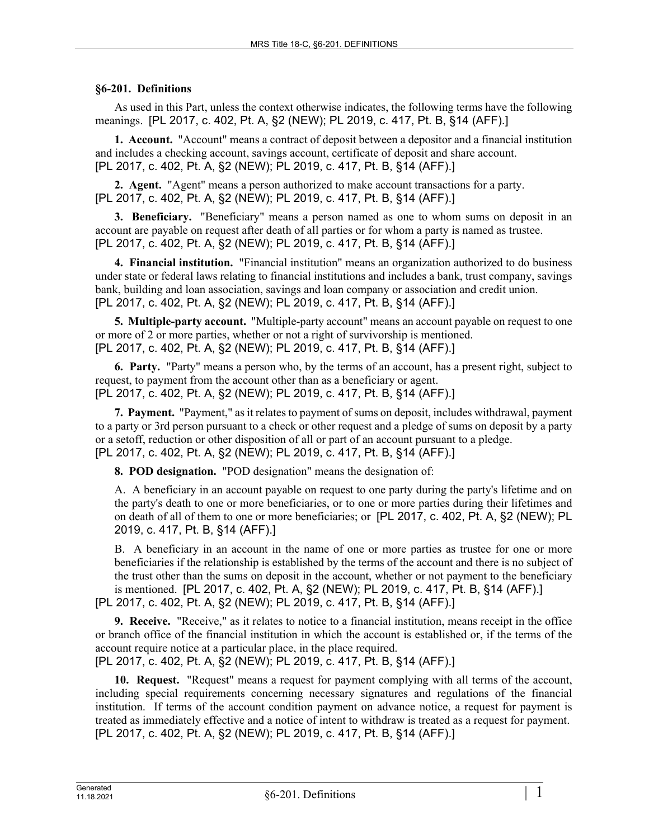## **§6-201. Definitions**

As used in this Part, unless the context otherwise indicates, the following terms have the following meanings. [PL 2017, c. 402, Pt. A, §2 (NEW); PL 2019, c. 417, Pt. B, §14 (AFF).]

**1. Account.** "Account" means a contract of deposit between a depositor and a financial institution and includes a checking account, savings account, certificate of deposit and share account. [PL 2017, c. 402, Pt. A, §2 (NEW); PL 2019, c. 417, Pt. B, §14 (AFF).]

**2. Agent.** "Agent" means a person authorized to make account transactions for a party. [PL 2017, c. 402, Pt. A, §2 (NEW); PL 2019, c. 417, Pt. B, §14 (AFF).]

**3. Beneficiary.** "Beneficiary" means a person named as one to whom sums on deposit in an account are payable on request after death of all parties or for whom a party is named as trustee. [PL 2017, c. 402, Pt. A, §2 (NEW); PL 2019, c. 417, Pt. B, §14 (AFF).]

**4. Financial institution.** "Financial institution" means an organization authorized to do business under state or federal laws relating to financial institutions and includes a bank, trust company, savings bank, building and loan association, savings and loan company or association and credit union. [PL 2017, c. 402, Pt. A, §2 (NEW); PL 2019, c. 417, Pt. B, §14 (AFF).]

**5. Multiple-party account.** "Multiple-party account" means an account payable on request to one or more of 2 or more parties, whether or not a right of survivorship is mentioned. [PL 2017, c. 402, Pt. A, §2 (NEW); PL 2019, c. 417, Pt. B, §14 (AFF).]

**6. Party.** "Party" means a person who, by the terms of an account, has a present right, subject to request, to payment from the account other than as a beneficiary or agent. [PL 2017, c. 402, Pt. A, §2 (NEW); PL 2019, c. 417, Pt. B, §14 (AFF).]

**7. Payment.** "Payment," as it relates to payment of sums on deposit, includes withdrawal, payment to a party or 3rd person pursuant to a check or other request and a pledge of sums on deposit by a party or a setoff, reduction or other disposition of all or part of an account pursuant to a pledge. [PL 2017, c. 402, Pt. A, §2 (NEW); PL 2019, c. 417, Pt. B, §14 (AFF).]

**8. POD designation.** "POD designation" means the designation of:

A. A beneficiary in an account payable on request to one party during the party's lifetime and on the party's death to one or more beneficiaries, or to one or more parties during their lifetimes and on death of all of them to one or more beneficiaries; or [PL 2017, c. 402, Pt. A, §2 (NEW); PL 2019, c. 417, Pt. B, §14 (AFF).]

B. A beneficiary in an account in the name of one or more parties as trustee for one or more beneficiaries if the relationship is established by the terms of the account and there is no subject of the trust other than the sums on deposit in the account, whether or not payment to the beneficiary is mentioned. [PL 2017, c. 402, Pt. A, §2 (NEW); PL 2019, c. 417, Pt. B, §14 (AFF).] [PL 2017, c. 402, Pt. A, §2 (NEW); PL 2019, c. 417, Pt. B, §14 (AFF).]

**9. Receive.** "Receive," as it relates to notice to a financial institution, means receipt in the office or branch office of the financial institution in which the account is established or, if the terms of the account require notice at a particular place, in the place required. [PL 2017, c. 402, Pt. A, §2 (NEW); PL 2019, c. 417, Pt. B, §14 (AFF).]

**10. Request.** "Request" means a request for payment complying with all terms of the account, including special requirements concerning necessary signatures and regulations of the financial institution. If terms of the account condition payment on advance notice, a request for payment is treated as immediately effective and a notice of intent to withdraw is treated as a request for payment. [PL 2017, c. 402, Pt. A, §2 (NEW); PL 2019, c. 417, Pt. B, §14 (AFF).]